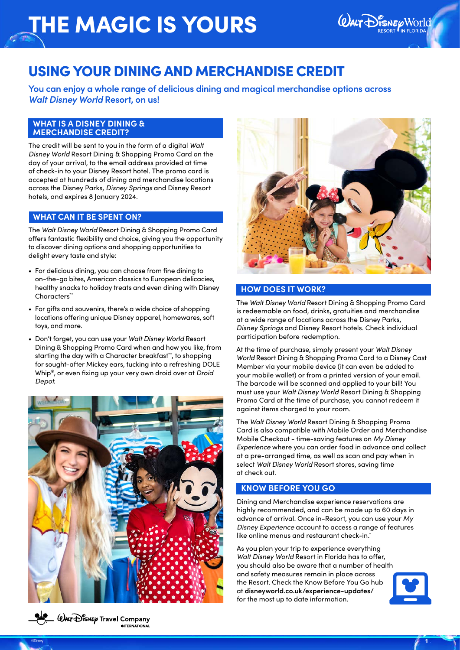

## USING YOUR DINING AND MERCHANDISE CREDIT

**You can enjoy a whole range of delicious dining and magical merchandise options across**  *Walt Disney World* **Resort, on us!** 

#### **WHAT IS A DISNEY DINING & MERCHANDISE CREDIT?**

The credit will be sent to you in the form of a digital *Walt Disney World* Resort Dining & Shopping Promo Card on the day of your arrival, to the email address provided at time of check-in to your Disney Resort hotel. The promo card is accepted at hundreds of dining and merchandise locations across the Disney Parks, *Disney Springs* and Disney Resort hotels, and expires 8 January 2024.

#### **WHAT CAN IT BE SPENT ON?**

The *Walt Disney World* Resort Dining & Shopping Promo Card offers fantastic flexibility and choice, giving you the opportunity to discover dining options and shopping opportunities to delight every taste and style:

- For delicious dining, you can choose from fine dining to on-the-go bites, American classics to European delicacies, healthy snacks to holiday treats and even dining with Disney Characters\*\*
- For gifts and souvenirs, there's a wide choice of shopping locations offering unique Disney apparel, homewares, soft toys, and more.
- Don't forget, you can use your *Walt Disney World* Resort Dining & Shopping Promo Card when and how you like, from starting the day with a Character breakfast\*\*, to shopping for sought-after Mickey ears, tucking into a refreshing DOLE Whip®, or even fixing up your very own droid over at *Droid Depot*.





#### **HOW DOES IT WORK?**

The *Walt Disney World* Resort Dining & Shopping Promo Card is redeemable on food, drinks, gratuities and merchandise at a wide range of locations across the Disney Parks, *Disney Springs* and Disney Resort hotels. Check individual participation before redemption.

At the time of purchase, simply present your *Walt Disney World* Resort Dining & Shopping Promo Card to a Disney Cast Member via your mobile device (it can even be added to your mobile wallet) or from a printed version of your email. The barcode will be scanned and applied to your bill! You must use your *Walt Disney World* Resort Dining & Shopping Promo Card at the time of purchase, you cannot redeem it against items charged to your room.

The *Walt Disney World* Resort Dining & Shopping Promo Card is also compatible with Mobile Order and Merchandise Mobile Checkout - time-saving features on *My Disney Experience* where you can order food in advance and collect at a pre-arranged time, as well as scan and pay when in select *Walt Disney World* Resort stores, saving time at check out.

## **KNOW BEFORE YOU GO**

©Disney is a construction of the construction of the construction of the construction of the construction  $\mathcal F$  .  $1$ 

Dining and Merchandise experience reservations are highly recommended, and can be made up to 60 days in advance of arrival. Once in-Resort, you can use your *My Disney Experience* account to access a range of features like online menus and restaurant check-in.†

As you plan your trip to experience everything *Walt Disney World* Resort in Florida has to offer, you should also be aware that a number of health and safety measures remain in place across the Resort. Check the Know Before You Go hub at **disneyworld.co.uk/experience-updates/** for the most up to date information.



 $\overset{\bullet}{\leftrightarrow}$   $\overset{\bullet}{\leftrightarrow}$   $\overset{\bullet}{\leftrightarrow}$   $\overset{\bullet}{\leftrightarrow}$   $\overset{\bullet}{\leftrightarrow}$   $\overset{\bullet}{\leftrightarrow}$   $\overset{\bullet}{\leftrightarrow}$   $\overset{\bullet}{\leftrightarrow}$   $\overset{\bullet}{\leftrightarrow}$   $\overset{\bullet}{\leftrightarrow}$   $\overset{\bullet}{\leftrightarrow}$   $\overset{\bullet}{\leftrightarrow}$   $\overset{\bullet}{\leftrightarrow}$   $\overset{\bullet}{\leftrightarrow}$   $\overset{\bullet}{\leftrightarrow}$   $\overset{\bullet}{\leftrightarrow}$   $\overset{\bullet}{\leftrightarrow}$   $\overset{\bullet}{\leftrightarrow}$   $\overset{\$ **INTERNATIONAL**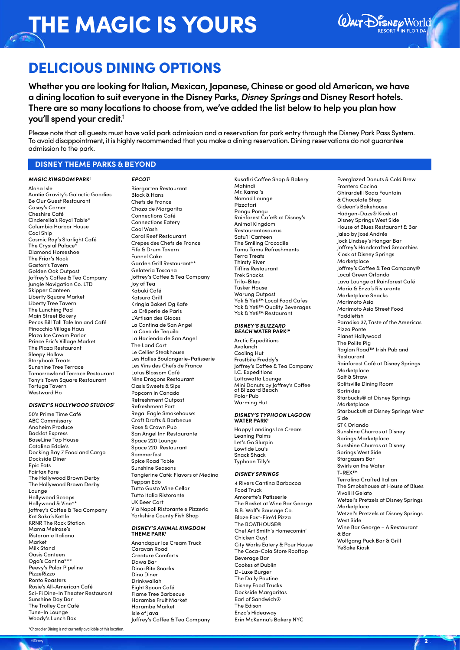

## DELICIOUS DINING OPTIONS

**Whether you are looking for Italian, Mexican, Japanese, Chinese or good old American, we have a dining location to suit everyone in the Disney Parks,** *Disney Springs* **and Disney Resort hotels. There are so many locations to choose from, we've added the list below to help you plan how you'll spend your credit.†**

Please note that all guests must have valid park admission and a reservation for park entry through the Disney Park Pass System. To avoid disappointment, it is highly recommended that you make a dining reservation. Dining reservations do not guarantee admission to the park.

#### **DISNEY THEME PARKS & BEYOND**

#### *MAGIC KINGDOM* **PARK†**

Aloha Isle Auntie Gravity's Galactic Goodies Be Our Guest Restaurant Casey's Corner Cheshire Café Cinderella's Royal Table\* Columbia Harbor House Cool Ship Cosmic Ray's Starlight Café The Crystal Palace<sup>\*</sup> Diamond Horseshoe The Friar's Nook Gaston's Tavern Golden Oak Outpost Joffrey's Coffee & Tea Company Jungle Navigation Co. LTD Skipper Canteen Liberty Square Market Liberty Tree Tavern The Lunching Pad Main Street Bakery Pecos Bill Tall Tale Inn and Café Pinocchio Village Haus Plaza Ice Cream Parlor Prince Eric's Village Market The Plaza Restaurant Sleepy Hollow Storybook Treats Sunshine Tree Terrace Tomorrowland Terrace Restaurant Tony's Town Square Restaurant Tortuga Tavern Westward Ho

#### *DISNEY'S HOLLYWOOD STUDIOS†*

50's Prime Time Café ABC Commissary Anaheim Produce Backlot Express BaseLine Tap House Catalina Eddie's Docking Bay 7 Food and Cargo Dockside Diner Epic Eats Fairfax Fare The Hollywood Brown Derby The Hollywood Brown Derby Lounge Hollywood Scoops Hollywood & Vine\*\* Joffrey's Coffee & Tea Company Kat Saka's Kettle KRNR The Rock Station Mama Melrose's Ristorante Italiano Market Milk Stand Oasis Canteen Oga's Cantina\*\*\* Peevy's Polar Pipeline PizzeRizzo Ronto Roasters Rosie's All-American Café Sci-Fi Dine-In Theater Restaurant Sunshine Day Bar The Trolley Car Café Tune-In Lounge Woody's Lunch Box

*EPCOT†* Biergarten Restaurant Block & Hans Chefs de France Choza de Margarita Connections Café Connections Eatery Cool Wash Coral Reef Restaurant Crepes des Chefs de France Fife & Drum Tavern Funnel Cake Garden Grill Restaurant\*\* Gelateria Toscana Joffrey's Coffee & Tea Company Joy of Tea .<br>Kabuki Café Katsura Grill Kringla Bakeri Og Kafe La Crêperie de Paris L'Artisan des Glaces La Cantina de San Angel La Cava de Tequila La Hacienda de San Angel The Land Cart Le Cellier Steakhouse Les Halles Boulangerie-Patisserie Les Vins des Chefs de France Lotus Blossom Café Nine Dragons Restaurant Oasis Sweets & Sips Popcorn in Canada Refreshment Outpost Refreshment Port Regal Eagle Smokehouse: Craft Drafts & Barbecue Rose & Crown Pub San Angel Inn Restaurante Space 220 Lounge Space 220 Restaurant Sommerfest Spice Road Table Sunshine Seasons Tangierine Café: Flavors of Medina Teppan Edo Tutto Gusto Wine Cellar Tutto Italia Ristorante UK Beer Cart Via Napoli Ristorante e Pizzeria Yorkshire County Fish Shop

#### *DISNEY'S ANIMAL KINGDOM*  **THEME PARK†**

Anandapur Ice Cream Truck Caravan Road Creature Comforts Dawa Bar Dino-Bite Snacks Dino Diner Drinkwallah Eight Spoon Café Flame Tree Barbecue Harambe Fruit Market Harambe Market Isle of Java Joffrey's Coffee & Tea Company Mahindi Mr. Kamal's Nomad Lounge Pizzafari Pongu Pongu Rainforest Cafe® at Disney's Animal Kingdom Restaurantosaurus Satu'li Canteen The Smiling Crocodile Tamu Tamu Refreshments Terra Treats Thirsty River Tiffins Restaurant Trek Snacks Trilo-Bites Tusker House Warung Outpost Yak & Yeti™ Local Food Cafes Yak & Yeti™ Quality Beverages Yak & Yeti™ Restaurant

Kusafiri Coffee Shop & Bakery

### *DISNEY'S BLIZZARD BEACH* **WATER PARK†⬤**

Arctic Expeditions Avalunch Cooling Hut Frostbite Freddy's Joffrey's Coffee & Tea Company I.C. Expeditions Lottawatta Lounge Mini Donuts by Joffrey's Coffee at Blizzard Beach Polar Pub Warming Hut

## *DISNEY'S TYPHOON LAGOON*  **WATER PARK†**

Happy Landings Ice Cream Leaning Palms Let's Go Slurpin Lowtide Lou's Snack Shack Typhoon Tilly's

#### *DISNEY SPRINGS*

©Disney and the contract of the contract of the contract of the contract of the contract of the contract of  $\ell$  .  $2$ 

4 Rivers Cantina Barbacoa Food Truck Amorette's Patisserie The Basket at Wine Bar George B.B. Wolf's Sausage Co. Blaze Fast-Fire'd Pizza The BOATHOUSE® Chef Art Smith's Homecomin' Chicken Guy! City Works Eatery & Pour House The Coca-Cola Store Rooftop Beverage Bar Cookes of Dublin D-Luxe Burger The Daily Poutine Disney Food Trucks Dockside Margaritas Earl of Sandwich® The Edison Enzo's Hideaway Erin McKenna's Bakery NYC

Everglazed Donuts & Cold Brew Frontera Cocina Ghirardelli Soda Fountain & Chocolate Shop Gideon's Bakehouse Häägen-Dazs® Kiosk at Disney Springs West Side House of Blues Restaurant & Bar Jaleo by José Andrés Jock Lindsey's Hangar Bar Joffrey's Handcrafted Smoothies Kiosk at Disney Springs Marketplace Joffrey's Coffee & Tea Company® Local Green Orlando Lava Lounge at Rainforest Café Maria & Enzo's Ristorante Marketplace Snacks Morimoto Asia Morimoto Asia Street Food Paddlefish Paradiso 37, Taste of the Americas Pizza Ponte Planet Hollywood The Polite Pig Raglan Road™ Irish Pub and Restaurant Rainforest Café at Disney Springs **Marketplace** Salt & Straw Splitsville Dining Room Sprinkles Starbucks® at Disney Springs Marketplace Starbucks® at Disney Springs West Side STK Orlando Sunshine Churros at Disney Springs Marketplace Sunshine Churros at Disney Springs West Side Stargazers Bar Swirls on the Water T-REX™ Terralina Crafted Italian The Smokehouse at House of Blues Vivoli il Gelato Wetzel's Pretzels at Disney Springs Marketplace Wetzel's Pretzels at Disney Springs West Side Wine Bar George – A Restaurant & Bar Wolfgang Puck Bar & Grill YeSake Kiosk

\*Character Dining is not currently available at this location.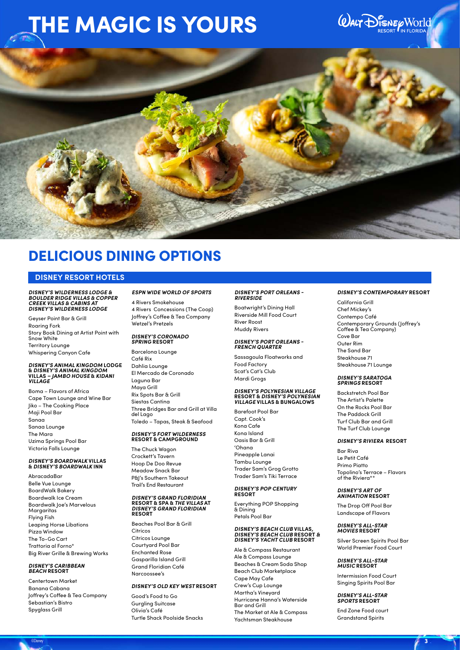## *QUALT DISNEY WORLD*



## DELICIOUS DINING OPTIONS

#### **DISNEY RESORT HOTELS**

### *DISNEY'S WILDERNESS LODGE & BOULDER RIDGE VILLAS & COPPER CREEK VILLAS & CABINS AT DISNEY'S WILDERNESS LODGE*

Geyser Point Bar & Grill Roaring Fork Story Book Dining at Artist Point with Snow White Territory Lounge Whispering Canyon Cafe

## *DISNEY'S ANIMAL KINGDOM* **LODGE &** *DISNEY'S ANIMAL KINGDOM*  **VILLAS** *– JAMBO HOUSE* **&** *KIDANI VILLAGE*

Boma – Flavors of Africa Cape Town Lounge and Wine Bar Jiko – The Cooking Place Maji Pool Bar Sanaa Sanaa Lounge The Mara Uzima Springs Pool Bar Victoria Falls Lounge

## *DISNEY'S BOARDWALK* **VILLAS &** *DISNEY'S BOARDWALK* **INN**

AbracadaBar Belle Vue Lounge BoardWalk Bakery Boardwalk Ice Cream Boardwalk Joe's Marvelous **Margaritas** Flying Fish Leaping Horse Libations Pizza Window The To-Go Cart Trattoria al Forno\* Big River Grille & Brewing Works

## *DISNEY'S CARIBBEAN BEACH* **RESORT**

Centertown Market Banana Cabana Joffrey's Coffee & Tea Company Sebastian's Bistro Spyglass Grill

#### *ESPN WIDE WORLD OF SPORTS*

4 Rivers Smokehouse 4 Rivers Concessions (The Coop) Joffrey's Coffee & Tea Company Wetzel's Pretzels

### *DISNEY'S CORONADO SPRING* **RESORT**

Barcelona Lounge Café Rix Dahlia Lounge El Mercado de Coronado Laguna Bar Maya Grill Rix Spots Bar & Grill Siestas Cantina Three Bridges Bar and Grill at Villa del Lago Toledo – Tapas, Steak & Seafood

#### *DISNEY'S FORT WILDERNESS*  **RESORT & CAMPGROUND**

The Chuck Wagon Crockett's Tavern Hoop De Doo Revue Meadow Snack Bar P&J's Southern Takeout Trail's End Restaurant

## *DISNEY'S GRAND FLORIDIAN*  **RESORT & SPA &** *THE VILLAS* **AT** *DISNEY'S GRAND FLORIDIAN*  **RESORT**

Beaches Pool Bar & Grill Citricos Citricos Lounge Courtyard Pool Bar Enchanted Rose Gasparilla Island Grill Grand Floridian Café Narcoossee's

#### *DISNEY'S OLD KEY WEST* **RESORT**

Good's Food to Go Gurgling Suitcase Olivia's Café Turtle Shack Poolside Snacks

## *DISNEY'S PORT ORLEANS - RIVERSIDE*

Boatwright's Dining Hall Riverside Mill Food Court River Roost Muddy Rivers

## *DISNEY'S PORT ORLEANS - FRENCH QUARTER*

Sassagoula Floatworks and Food Factory Scat's Cat's Club Mardi Grogs

#### *DISNEY'S POLYNESIAN VILLAGE*  **RESORT &** *DISNEY'S POLYNESIAN VILLAGE* **VILLAS & BUNGALOWS**

Barefoot Pool Bar Capt. Cook's Kona Cafe Kona Island Oasis Bar & Grill 'Ohana Pineapple Lanai Tambu Lounge Trader Sam's Grog Grotto Trader Sam's Tiki Terrace

#### *DISNEY'S POP CENTURY*  **RESORT**

Everything POP Shopping & Dining Petals Pool Bar

#### *DISNEY'S BEACH CLUB* **VILLAS***, DISNEY'S BEACH CLUB* **RESORT** *& DISNEY'S YACHT CLUB* **RESORT**

Ale & Compass Restaurant Ale & Compass Lounge Beaches & Cream Soda Shop Beach Club Marketplace Cape May Cafe Crew's Cup Lounge Martha's Vineyard Hurricane Hanna's Waterside Bar and Grill The Market at Ale & Compass Yachtsman Steakhouse

#### *DISNEY'S CONTEMPORARY* **RESORT**

California Grill Chef Mickey's Contempo Café Contemporary Grounds (Joffrey's Coffee & Tea Company) Cove Bar Outer Rim The Sand Bar Steakhouse 71 Steakhouse 71 Lounge

#### *DISNEY'S SARATOGA SPRINGS* **RESORT**

Backstretch Pool Bar The Artist's Palette On the Rocks Pool Bar The Paddock Grill Turf Club Bar and Grill The Turf Club Lounge

#### *DISNEY'S RIVIERA* **RESORT**

Bar Riva Le Petit Café Primo Piatto Topolino's Terrace – Flavors of the Riviera\*

#### *DISNEY'S ART OF ANIMATION* **RESORT**

The Drop Off Pool Bar Landscape of Flavors

#### *DISNEY'S ALL-STAR MOVIES* **RESORT**

Silver Screen Spirits Pool Bar World Premier Food Court

### *DISNEY'S ALL-STAR MUSIC* **RESORT**

Intermission Food Court Singing Spirits Pool Bar

#### *DISNEY'S ALL-STAR SPORTS* **RESORT**

End Zone Food court Grandstand Spirits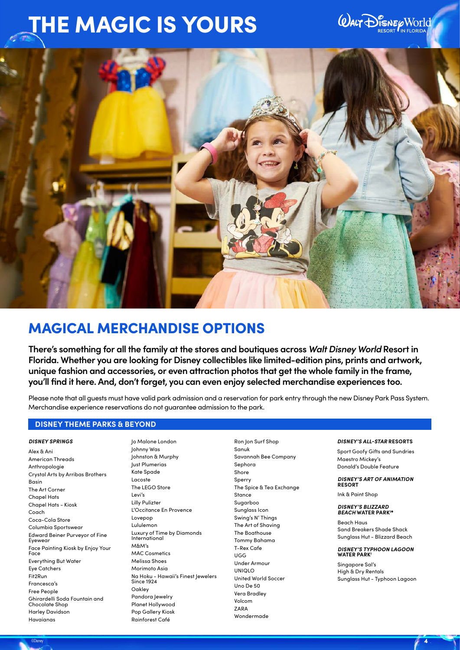## **WALT DISNEP WORLD**



## MAGICAL MERCHANDISE OPTIONS

**There's something for all the family at the stores and boutiques across** *Walt Disney World* **Resort in Florida. Whether you are looking for Disney collectibles like limited-edition pins, prints and artwork, unique fashion and accessories, or even attraction photos that get the whole family in the frame, you'll find it here. And, don't forget, you can even enjoy selected merchandise experiences too.** 

Please note that all guests must have valid park admission and a reservation for park entry through the new Disney Park Pass System. Merchandise experience reservations do not guarantee admission to the park.

©Disney and the contract of the contract of the contract of the contract of the contract of the contract of  $\bm{A}$  .  $\bm{A}$ 

#### **DISNEY THEME PARKS & BEYOND**

#### *DISNEY SPRINGS*

Alex & Ani American Threads Anthropologie Crystal Arts by Arribas Brothers Basin The Art Corner Chapel Hats Chapel Hats - Kiosk Coach Coca-Cola Store Columbia Sportswear Edward Beiner Purveyor of Fine Eyewear Face Painting Kiosk by Enjoy Your Face Everything But Water Eye Catchers Fit2Run Francesca's Free People Ghirardelli Soda Fountain and Chocolate Shop Harley Davidson Havaianas

Jo Malone London Johnny Was Johnston & Murphy Just Plumerias Kate Spade Lacoste The LEGO Store Levi's Lilly Pulizter L'Occitance En Provence Lovepop Lululemon Luxury of Time by Diamonds International M&M's MAC Cosmetics Melissa Shoes Morimoto Asia Na Hoku - Hawaii's Finest Jewelers Since 1924 Oakley Pandora Jewelry Planet Hollywood Pop Gallery Kiosk Rainforest Café

Ron Jon Surf Shop Sanuk Savannah Bee Company Sephora Shore **Sperry** The Spice & Tea Exchange Stance Sugarboo Sunglass Icon Swing's N' Things The Art of Shaving The Boathouse Tommy Bahama T-Rex Cafe UGG Under Armour UNIQLO United World Soccer Uno De 50 Vera Bradley Volcom ZARA Wondermade

#### *DISNEY'S ALL-STAR* **RESORTS**

Sport Goofy Gifts and Sundries Maestro Mickey's Donald's Double Feature

*DISNEY'S ART OF ANIMATION*  **RESORT**

Ink & Paint Shop

*DISNEY'S BLIZZARD BEACH* **WATER PARK†⬤**

Beach Haus Sand Breakers Shade Shack Sunglass Hut - Blizzard Beach

*DISNEY'S TYPHOON LAGOON*  **WATER PARK†**

Singapore Sal's High & Dry Rentals Sunglass Hut - Typhoon Lagoon